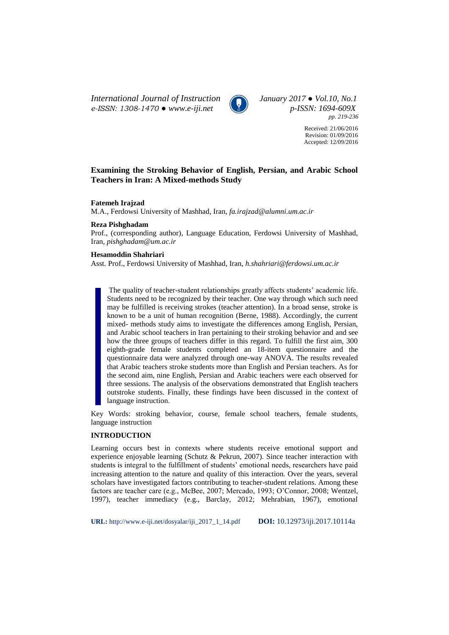*International Journal of Instruction January 2017 ● Vol.10, No.1 e-ISSN: 1308-1470 ● www.e-iji.net p-ISSN: 1694-609X*



*pp. 219-236*

Received: 21/06/2016 Revision: 01/09/2016 Accepted: 12/09/2016

# **Examining the Stroking Behavior of English, Persian, and Arabic School Teachers in Iran: A Mixed-methods Study**

**Fatemeh Irajzad**

M.A., Ferdowsi University of Mashhad, Iran, *fa.irajzad@alumni.um.ac.ir*

## **Reza Pishghadam**

Prof., (corresponding author), Language Education, Ferdowsi University of Mashhad, Iran, *[pishghadam@um.ac.ir](mailto:pishghadam@um.ac.ir)*

## **Hesamoddin Shahriari**

Asst. Prof., Ferdowsi University of Mashhad, Iran, *[h.shahriari@ferdowsi.um.ac.ir](mailto:h.shahriari@ferdowsi.um.ac.ir)*

The quality of teacher-student relationships greatly affects students' academic life. Students need to be recognized by their teacher. One way through which such need may be fulfilled is receiving strokes (teacher attention). In a broad sense, stroke is known to be a unit of human recognition (Berne, 1988). Accordingly, the current mixed- methods study aims to investigate the differences among English, Persian, and Arabic school teachers in Iran pertaining to their stroking behavior and and see how the three groups of teachers differ in this regard. To fulfill the first aim, 300 eighth-grade female students completed an 18-item questionnaire and the questionnaire data were analyzed through one-way ANOVA. The results revealed that Arabic teachers stroke students more than English and Persian teachers. As for the second aim, nine English, Persian and Arabic teachers were each observed for three sessions. The analysis of the observations demonstrated that English teachers outstroke students. Finally, these findings have been discussed in the context of language instruction.

Key Words: stroking behavior, course, female school teachers, female students, language instruction

## **INTRODUCTION**

Learning occurs best in contexts where students receive emotional support and experience enjoyable learning (Schutz & Pekrun, 2007). Since teacher interaction with students is integral to the fulfillment of students' emotional needs, researchers have paid increasing attention to the nature and quality of this interaction. Over the years, several scholars have investigated factors contributing to teacher-student relations. Among these factors are teacher care (e.g., McBee, 2007; Mercado, 1993; O'Connor, 2008; Wentzel, 1997), teacher immediacy (e.g., Barclay, 2012; Mehrabian, 1967), emotional

**URL:** http://www.e-iji.net/dosyalar/iji\_2017\_1\_14.pdf **DOI:** 10.12973/iji.2017.10114a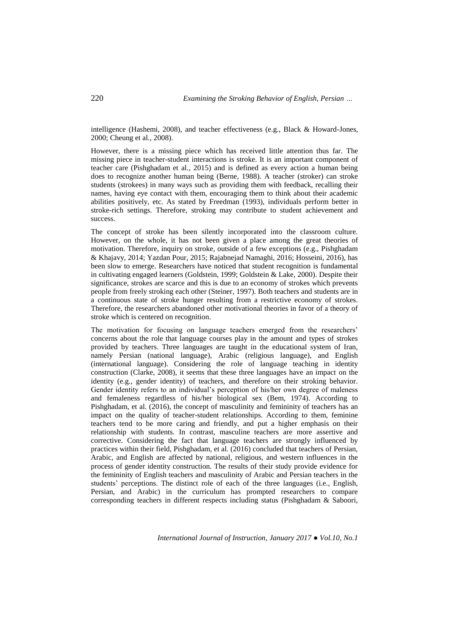intelligence (Hashemi, 2008), and teacher effectiveness (e.g., Black & Howard-Jones, 2000; Cheung et al., 2008).

However, there is a missing piece which has received little attention thus far. The missing piece in teacher-student interactions is stroke. It is an important component of teacher care (Pishghadam et al., 2015) and is defined as every action a human being does to recognize another human being (Berne, 1988). A teacher (stroker) can stroke students (strokees) in many ways such as providing them with feedback, recalling their names, having eye contact with them, encouraging them to think about their academic abilities positively, etc. As stated by Freedman (1993), individuals perform better in stroke-rich settings. Therefore, stroking may contribute to student achievement and success.

The concept of stroke has been silently incorporated into the classroom culture. However, on the whole, it has not been given a place among the great theories of motivation. Therefore, inquiry on stroke, outside of a few exceptions (e.g., Pishghadam & Khajavy, 2014; Yazdan Pour, 2015; Rajabnejad Namaghi, 2016; Hosseini, 2016), has been slow to emerge. Researchers have noticed that student recognition is fundamental in cultivating engaged learners (Goldstein, 1999; Goldstein & Lake, 2000). Despite their significance, strokes are scarce and this is due to an economy of strokes which prevents people from freely stroking each other (Steiner, 1997). Both teachers and students are in a continuous state of stroke hunger resulting from a restrictive economy of strokes. Therefore, the researchers abandoned other motivational theories in favor of a theory of stroke which is centered on recognition.

The motivation for focusing on language teachers emerged from the researchers' concerns about the role that language courses play in the amount and types of strokes provided by teachers. Three languages are taught in the educational system of Iran, namely Persian (national language), Arabic (religious language), and English (international language). Considering the role of language teaching in identity construction (Clarke, 2008), it seems that these three languages have an impact on the identity (e.g., gender identity) of teachers, and therefore on their stroking behavior. Gender identity refers to an individual's perception of his/her own degree of maleness and femaleness regardless of his/her biological sex (Bem, 1974). According to Pishghadam, et al. (2016), the concept of masculinity and femininity of teachers has an impact on the quality of teacher-student relationships. According to them, feminine teachers tend to be more caring and friendly, and put a higher emphasis on their relationship with students. In contrast, masculine teachers are more assertive and corrective. Considering the fact that language teachers are strongly influenced by practices within their field, Pishghadam, et al. (2016) concluded that teachers of Persian, Arabic, and English are affected by national, religious, and western influences in the process of gender identity construction. The results of their study provide evidence for the femininity of English teachers and masculinity of Arabic and Persian teachers in the students' perceptions. The distinct role of each of the three languages (i.e., English, Persian, and Arabic) in the curriculum has prompted researchers to compare corresponding teachers in different respects including status (Pishghadam & Saboori,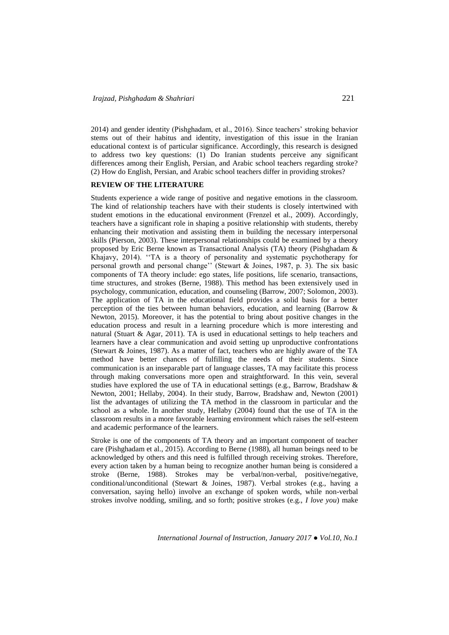2014) and gender identity (Pishghadam, et al., 2016). Since teachers' stroking behavior stems out of their habitus and identity, investigation of this issue in the Iranian educational context is of particular significance. Accordingly, this research is designed to address two key questions: (1) Do Iranian students perceive any significant differences among their English, Persian, and Arabic school teachers regarding stroke? (2) How do English, Persian, and Arabic school teachers differ in providing strokes?

## **REVIEW OF THE LITERATURE**

Students experience a wide range of positive and negative emotions in the classroom. The kind of relationship teachers have with their students is closely intertwined with student emotions in the educational environment (Frenzel et al., 2009). Accordingly, teachers have a significant role in shaping a positive relationship with students, thereby enhancing their motivation and assisting them in building the necessary interpersonal skills (Pierson, 2003). These interpersonal relationships could be examined by a theory proposed by Eric Berne known as Transactional Analysis (TA) theory (Pishghadam & Khajavy, 2014). ''TA is a theory of personality and systematic psychotherapy for personal growth and personal change'' (Stewart & Joines, 1987, p. 3). The six basic components of TA theory include: ego states, life positions, life scenario, transactions, time structures, and strokes (Berne, 1988). This method has been extensively used in psychology, communication, education, and counseling (Barrow, 2007; Solomon, 2003). The application of TA in the educational field provides a solid basis for a better perception of the ties between human behaviors, education, and learning (Barrow & Newton, 2015). Moreover, it has the potential to bring about positive changes in the education process and result in a learning procedure which is more interesting and natural (Stuart & Agar, 2011). TA is used in educational settings to help teachers and learners have a clear communication and avoid setting up unproductive confrontations (Stewart & Joines, 1987). As a matter of fact, teachers who are highly aware of the TA method have better chances of fulfilling the needs of their students. Since communication is an inseparable part of language classes, TA may facilitate this process through making conversations more open and straightforward. In this vein, several studies have explored the use of TA in educational settings (e.g., Barrow, Bradshaw & Newton, 2001; Hellaby, 2004). In their study, Barrow, Bradshaw and, Newton (2001) list the advantages of utilizing the TA method in the classroom in particular and the school as a whole. In another study, Hellaby (2004) found that the use of TA in the classroom results in a more favorable learning environment which raises the self-esteem and academic performance of the learners.

Stroke is one of the components of TA theory and an important component of teacher care (Pishghadam et al., 2015). According to Berne (1988), all human beings need to be acknowledged by others and this need is fulfilled through receiving strokes. Therefore, every action taken by a human being to recognize another human being is considered a stroke (Berne, 1988). Strokes may be verbal/non-verbal, positive/negative, conditional/unconditional (Stewart & Joines, 1987). Verbal strokes (e.g., having a conversation, saying hello) involve an exchange of spoken words, while non-verbal strokes involve nodding, smiling, and so forth; positive strokes (e.g., *I love you*) make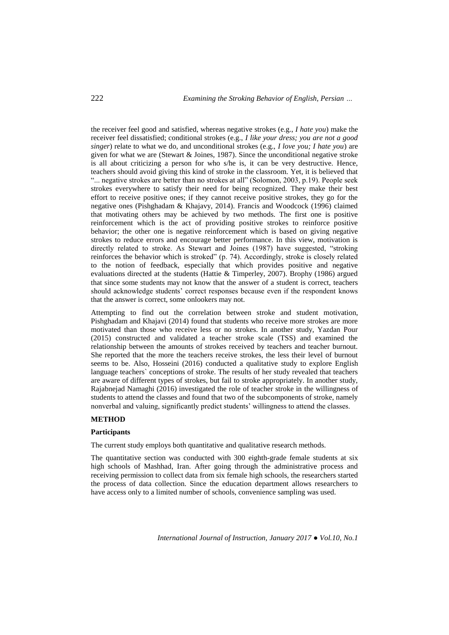the receiver feel good and satisfied, whereas negative strokes (e.g., *I hate you*) make the receiver feel dissatisfied; conditional strokes (e.g., *I like your dress; you are not a good singer*) relate to what we do, and unconditional strokes (e.g., *I love you; I hate you*) are given for what we are (Stewart  $&$  Joines, 1987). Since the unconditional negative stroke is all about criticizing a person for who s/he is, it can be very destructive. Hence, teachers should avoid giving this kind of stroke in the classroom. Yet, it is believed that "... negative strokes are better than no strokes at all" (Solomon, 2003, p.19). People seek strokes everywhere to satisfy their need for being recognized. They make their best effort to receive positive ones; if they cannot receive positive strokes, they go for the negative ones (Pishghadam & Khajavy, 2014). Francis and Woodcock (1996) claimed that motivating others may be achieved by two methods. The first one is positive reinforcement which is the act of providing positive strokes to reinforce positive behavior; the other one is negative reinforcement which is based on giving negative strokes to reduce errors and encourage better performance. In this view, motivation is directly related to stroke. As Stewart and Joines (1987) have suggested, "stroking reinforces the behavior which is stroked" (p. 74). Accordingly, stroke is closely related to the notion of feedback, especially that which provides positive and negative evaluations directed at the students (Hattie & Timperley, 2007). Brophy (1986) argued that since some students may not know that the answer of a student is correct, teachers should acknowledge students' correct responses because even if the respondent knows that the answer is correct, some onlookers may not.

Attempting to find out the correlation between stroke and student motivation, Pishghadam and Khajavi (2014) found that students who receive more strokes are more motivated than those who receive less or no strokes. In another study, Yazdan Pour (2015) constructed and validated a teacher stroke scale (TSS) and examined the relationship between the amounts of strokes received by teachers and teacher burnout. She reported that the more the teachers receive strokes, the less their level of burnout seems to be. Also, Hosseini (2016) conducted a qualitative study to explore English language teachers` conceptions of stroke. The results of her study revealed that teachers are aware of different types of strokes, but fail to stroke appropriately. In another study, Rajabnejad Namaghi (2016) investigated the role of teacher stroke in the willingness of students to attend the classes and found that two of the subcomponents of stroke, namely nonverbal and valuing, significantly predict students' willingness to attend the classes.

## **METHOD**

### **Participants**

The current study employs both quantitative and qualitative research methods.

The quantitative section was conducted with 300 eighth-grade female students at six high schools of Mashhad, Iran. After going through the administrative process and receiving permission to collect data from six female high schools, the researchers started the process of data collection. Since the education department allows researchers to have access only to a limited number of schools, convenience sampling was used.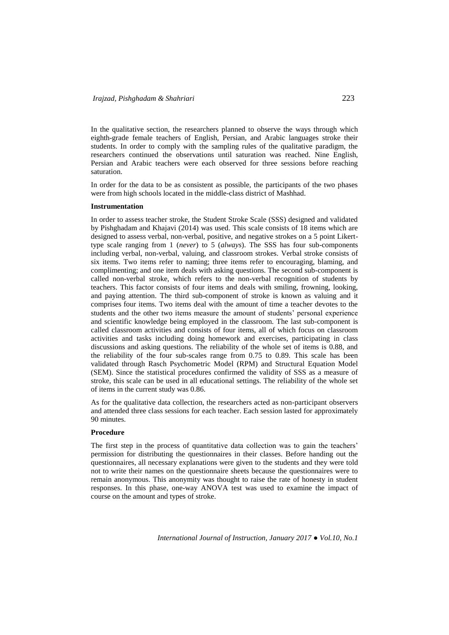In the qualitative section, the researchers planned to observe the ways through which eighth-grade female teachers of English, Persian, and Arabic languages stroke their students. In order to comply with the sampling rules of the qualitative paradigm, the researchers continued the observations until saturation was reached. Nine English, Persian and Arabic teachers were each observed for three sessions before reaching saturation.

In order for the data to be as consistent as possible, the participants of the two phases were from high schools located in the middle-class district of Mashhad.

#### **Instrumentation**

In order to assess teacher stroke, the Student Stroke Scale (SSS) designed and validated by Pishghadam and Khajavi (2014) was used. This scale consists of 18 items which are designed to assess verbal, non-verbal, positive, and negative strokes on a 5 point Likerttype scale ranging from 1 (*never*) to 5 (*always*). The SSS has four sub-components including verbal, non-verbal, valuing, and classroom strokes. Verbal stroke consists of six items. Two items refer to naming; three items refer to encouraging, blaming, and complimenting; and one item deals with asking questions. The second sub-component is called non-verbal stroke, which refers to the non-verbal recognition of students by teachers. This factor consists of four items and deals with smiling, frowning, looking, and paying attention. The third sub-component of stroke is known as valuing and it comprises four items. Two items deal with the amount of time a teacher devotes to the students and the other two items measure the amount of students' personal experience and scientific knowledge being employed in the classroom. The last sub-component is called classroom activities and consists of four items, all of which focus on classroom activities and tasks including doing homework and exercises, participating in class discussions and asking questions. The reliability of the whole set of items is 0.88, and the reliability of the four sub-scales range from 0.75 to 0.89. This scale has been validated through Rasch Psychometric Model (RPM) and Structural Equation Model (SEM). Since the statistical procedures confirmed the validity of SSS as a measure of stroke, this scale can be used in all educational settings. The reliability of the whole set of items in the current study was 0.86.

As for the qualitative data collection, the researchers acted as non-participant observers and attended three class sessions for each teacher. Each session lasted for approximately 90 minutes.

### **Procedure**

The first step in the process of quantitative data collection was to gain the teachers' permission for distributing the questionnaires in their classes. Before handing out the questionnaires, all necessary explanations were given to the students and they were told not to write their names on the questionnaire sheets because the questionnaires were to remain anonymous. This anonymity was thought to raise the rate of honesty in student responses. In this phase, one-way ANOVA test was used to examine the impact of course on the amount and types of stroke.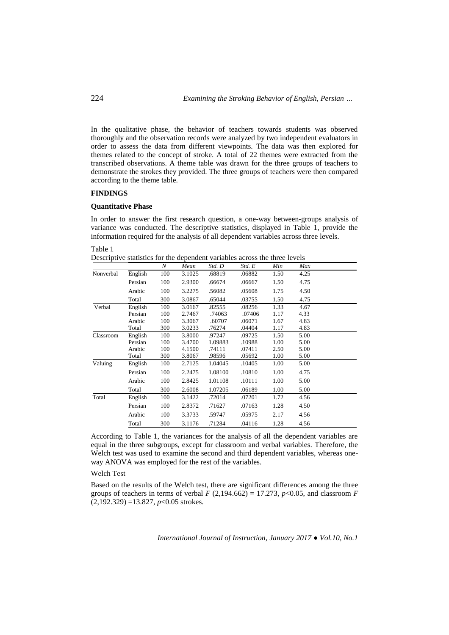In the qualitative phase, the behavior of teachers towards students was observed thoroughly and the observation records were analyzed by two independent evaluators in order to assess the data from different viewpoints. The data was then explored for themes related to the concept of stroke. A total of 22 themes were extracted from the transcribed observations. A theme table was drawn for the three groups of teachers to demonstrate the strokes they provided. The three groups of teachers were then compared according to the theme table.

# **FINDINGS**

# **Quantitative Phase**

In order to answer the first research question, a one-way between-groups analysis of variance was conducted. The descriptive statistics, displayed in Table 1, provide the information required for the analysis of all dependent variables across three levels.

Table 1

Descriptive statistics for the dependent variables across the three levels

|           |         | N   | Mean   | Std. D  | Std. E | Min  | Max  |  |
|-----------|---------|-----|--------|---------|--------|------|------|--|
| Nonverbal | English | 100 | 3.1025 | .68819  | .06882 | 1.50 | 4.25 |  |
|           | Persian | 100 | 2.9300 | .66674  | .06667 | 1.50 | 4.75 |  |
|           | Arabic  | 100 | 3.2275 | .56082  | .05608 | 1.75 | 4.50 |  |
|           | Total   | 300 | 3.0867 | .65044  | .03755 | 1.50 | 4.75 |  |
| Verbal    | English | 100 | 3.0167 | .82555  | .08256 | 1.33 | 4.67 |  |
|           | Persian | 100 | 2.7467 | .74063  | .07406 | 1.17 | 4.33 |  |
|           | Arabic  | 100 | 3.3067 | .60707  | .06071 | 1.67 | 4.83 |  |
|           | Total   | 300 | 3.0233 | .76274  | .04404 | 1.17 | 4.83 |  |
| Classroom | English | 100 | 3.8000 | .97247  | .09725 | 1.50 | 5.00 |  |
|           | Persian | 100 | 3.4700 | 1.09883 | .10988 | 1.00 | 5.00 |  |
|           | Arabic  | 100 | 4.1500 | .74111  | .07411 | 2.50 | 5.00 |  |
|           | Total   | 300 | 3.8067 | .98596  | .05692 | 1.00 | 5.00 |  |
| Valuing   | English | 100 | 2.7125 | 1.04045 | .10405 | 1.00 | 5.00 |  |
|           | Persian | 100 | 2.2475 | 1.08100 | .10810 | 1.00 | 4.75 |  |
|           | Arabic  | 100 | 2.8425 | 1.01108 | .10111 | 1.00 | 5.00 |  |
|           | Total   | 300 | 2.6008 | 1.07205 | .06189 | 1.00 | 5.00 |  |
| Total     | English | 100 | 3.1422 | .72014  | .07201 | 1.72 | 4.56 |  |
|           | Persian | 100 | 2.8372 | .71627  | .07163 | 1.28 | 4.50 |  |
|           | Arabic  | 100 | 3.3733 | .59747  | .05975 | 2.17 | 4.56 |  |
|           | Total   | 300 | 3.1176 | .71284  | .04116 | 1.28 | 4.56 |  |

According to Table 1, the variances for the analysis of all the dependent variables are equal in the three subgroups, except for classroom and verbal variables. Therefore, the Welch test was used to examine the second and third dependent variables, whereas oneway ANOVA was employed for the rest of the variables.

## Welch Test

Based on the results of the Welch test, there are significant differences among the three groups of teachers in terms of verbal  $F(2,194.662) = 17.273$ ,  $p<0.05$ , and classroom  $F$ (2,192.329) =13.827, *p*<0.05 strokes.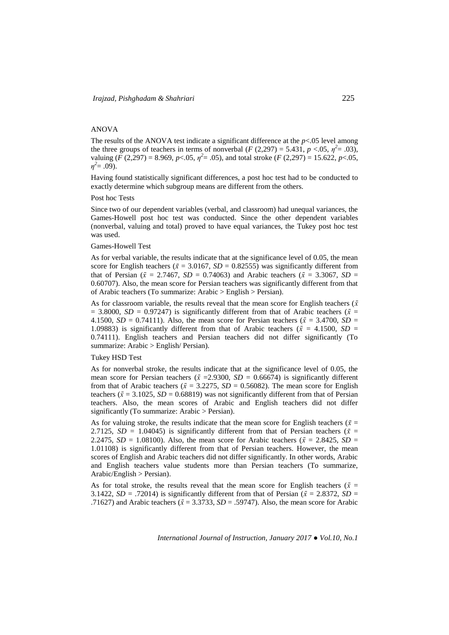## ANOVA

The results of the ANOVA test indicate a significant difference at the  $p < 0.05$  level among the three groups of teachers in terms of nonverbal  $(F (2,297) = 5.431, p < .05, \eta^2 = .03)$ , valuing (*F* (2,297) = 8.969, *p*<.05,  $\eta^2$  = .05), and total stroke (*F* (2,297) = 15.622, *p*<.05,  $\eta^2 = .09$ ).

Having found statistically significant differences, a post hoc test had to be conducted to exactly determine which subgroup means are different from the others.

### Post hoc Tests

Since two of our dependent variables (verbal, and classroom) had unequal variances, the Games-Howell post hoc test was conducted. Since the other dependent variables (nonverbal, valuing and total) proved to have equal variances, the Tukey post hoc test was used.

## Games-Howell Test

As for verbal variable, the results indicate that at the significance level of 0.05, the mean score for English teachers ( $\bar{x}$  = 3.0167, *SD* = 0.82555) was significantly different from that of Persian ( $\bar{x} = 2.7467$ , *SD* = 0.74063) and Arabic teachers ( $\bar{x} = 3.3067$ , *SD* = 0.60707). Also, the mean score for Persian teachers was significantly different from that of Arabic teachers (To summarize: Arabic > English > Persian).

As for classroom variable, the results reveal that the mean score for English teachers ( $\bar{x}$ )  $= 3.8000$ ,  $SD = 0.97247$ ) is significantly different from that of Arabic teachers ( $\bar{x}$  = 4.1500, *SD* = 0.74111). Also, the mean score for Persian teachers ( $\bar{x}$  = 3.4700, *SD* = 1.09883) is significantly different from that of Arabic teachers ( $\bar{x}$  = 4.1500, *SD* = 0.74111). English teachers and Persian teachers did not differ significantly (To summarize: Arabic > English/ Persian).

#### Tukey HSD Test

As for nonverbal stroke, the results indicate that at the significance level of 0.05, the mean score for Persian teachers ( $\bar{x}$  = 2.9300, *SD* = 0.66674) is significantly different from that of Arabic teachers ( $\bar{x}$  = 3.2275, *SD* = 0.56082). The mean score for English teachers ( $\bar{x}$  = 3.1025, *SD* = 0.68819) was not significantly different from that of Persian teachers. Also, the mean scores of Arabic and English teachers did not differ significantly (To summarize: Arabic > Persian).

As for valuing stroke, the results indicate that the mean score for English teachers ( $\bar{x}$  = 2.7125,  $SD = 1.04045$ ) is significantly different from that of Persian teachers ( $\bar{x}$  = 2.2475,  $SD = 1.08100$ . Also, the mean score for Arabic teachers ( $\bar{x} = 2.8425$ ,  $SD =$ 1.01108) is significantly different from that of Persian teachers. However, the mean scores of English and Arabic teachers did not differ significantly. In other words, Arabic and English teachers value students more than Persian teachers (To summarize, Arabic/English > Persian).

As for total stroke, the results reveal that the mean score for English teachers ( $\bar{x}$  = 3.1422,  $SD = .72014$ ) is significantly different from that of Persian ( $\bar{x} = 2.8372$ ,  $SD =$ .71627) and Arabic teachers ( $\bar{x}$  = 3.3733, *SD* = .59747). Also, the mean score for Arabic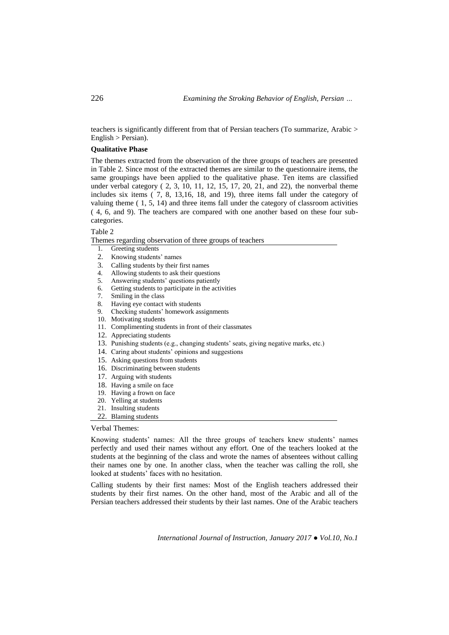teachers is significantly different from that of Persian teachers (To summarize, Arabic > English > Persian).

## **Qualitative Phase**

The themes extracted from the observation of the three groups of teachers are presented in Table 2. Since most of the extracted themes are similar to the questionnaire items, the same groupings have been applied to the qualitative phase. Ten items are classified under verbal category ( 2, 3, 10, 11, 12, 15, 17, 20, 21, and 22), the nonverbal theme includes six items ( 7, 8, 13,16, 18, and 19), three items fall under the category of valuing theme  $(1, 5, 14)$  and three items fall under the category of classroom activities ( 4, 6, and 9). The teachers are compared with one another based on these four subcategories.

### Table 2

Themes regarding observation of three groups of teachers

- 1. Greeting students
- 2. Knowing students' names
- 3. Calling students by their first names
- 4. Allowing students to ask their questions
- 5. Answering students' questions patiently
- 6. Getting students to participate in the activities
- 7. Smiling in the class
- 8. Having eye contact with students
- 9. Checking students' homework assignments
- 10. Motivating students
- 11. Complimenting students in front of their classmates
- 12. Appreciating students
- 13. Punishing students (e.g., changing students' seats, giving negative marks, etc.)
- 14. Caring about students' opinions and suggestions
- 15. Asking questions from students
- 16. Discriminating between students
- 17. Arguing with students
- 18. Having a smile on face
- 19. Having a frown on face
- 20. Yelling at students
- 21. Insulting students
- 22. Blaming students

## Verbal Themes:

Knowing students' names: All the three groups of teachers knew students' names perfectly and used their names without any effort. One of the teachers looked at the students at the beginning of the class and wrote the names of absentees without calling their names one by one. In another class, when the teacher was calling the roll, she looked at students' faces with no hesitation.

Calling students by their first names: Most of the English teachers addressed their students by their first names. On the other hand, most of the Arabic and all of the Persian teachers addressed their students by their last names. One of the Arabic teachers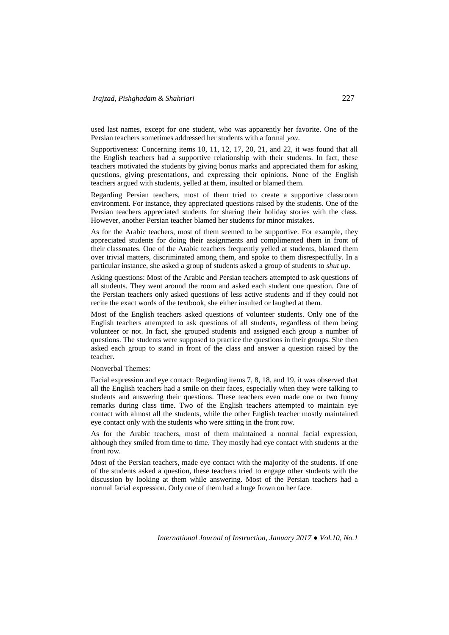used last names, except for one student, who was apparently her favorite. One of the Persian teachers sometimes addressed her students with a formal *you*.

Supportiveness: Concerning items 10, 11, 12, 17, 20, 21, and 22, it was found that all the English teachers had a supportive relationship with their students. In fact, these teachers motivated the students by giving bonus marks and appreciated them for asking questions, giving presentations, and expressing their opinions. None of the English teachers argued with students, yelled at them, insulted or blamed them.

Regarding Persian teachers, most of them tried to create a supportive classroom environment. For instance, they appreciated questions raised by the students. One of the Persian teachers appreciated students for sharing their holiday stories with the class. However, another Persian teacher blamed her students for minor mistakes.

As for the Arabic teachers, most of them seemed to be supportive. For example, they appreciated students for doing their assignments and complimented them in front of their classmates. One of the Arabic teachers frequently yelled at students, blamed them over trivial matters, discriminated among them, and spoke to them disrespectfully. In a particular instance, she asked a group of students asked a group of students to *shut up*.

Asking questions: Most of the Arabic and Persian teachers attempted to ask questions of all students. They went around the room and asked each student one question. One of the Persian teachers only asked questions of less active students and if they could not recite the exact words of the textbook, she either insulted or laughed at them.

Most of the English teachers asked questions of volunteer students. Only one of the English teachers attempted to ask questions of all students, regardless of them being volunteer or not. In fact, she grouped students and assigned each group a number of questions. The students were supposed to practice the questions in their groups. She then asked each group to stand in front of the class and answer a question raised by the teacher.

Nonverbal Themes:

Facial expression and eye contact: Regarding items 7, 8, 18, and 19, it was observed that all the English teachers had a smile on their faces, especially when they were talking to students and answering their questions. These teachers even made one or two funny remarks during class time. Two of the English teachers attempted to maintain eye contact with almost all the students, while the other English teacher mostly maintained eye contact only with the students who were sitting in the front row.

As for the Arabic teachers, most of them maintained a normal facial expression, although they smiled from time to time. They mostly had eye contact with students at the front row.

Most of the Persian teachers, made eye contact with the majority of the students. If one of the students asked a question, these teachers tried to engage other students with the discussion by looking at them while answering. Most of the Persian teachers had a normal facial expression. Only one of them had a huge frown on her face.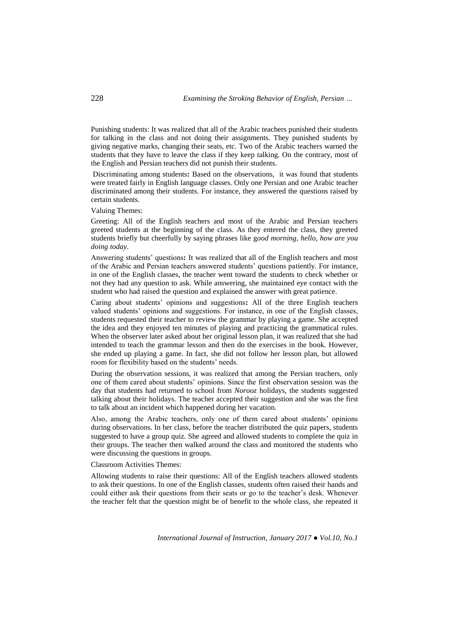Punishing students: It was realized that all of the Arabic teachers punished their students for talking in the class and not doing their assignments. They punished students by giving negative marks, changing their seats, etc. Two of the Arabic teachers warned the students that they have to leave the class if they keep talking. On the contrary, most of the English and Persian teachers did not punish their students.

Discriminating among students**:** Based on the observations, it was found that students were treated fairly in English language classes. Only one Persian and one Arabic teacher discriminated among their students. For instance, they answered the questions raised by certain students.

Valuing Themes:

Greeting: All of the English teachers and most of the Arabic and Persian teachers greeted students at the beginning of the class. As they entered the class, they greeted students briefly but cheerfully by saying phrases like g*ood morning*, *hello*, *how are you doing today*.

Answering students' questions**:** It was realized that all of the English teachers and most of the Arabic and Persian teachers answered students' questions patiently. For instance, in one of the English classes, the teacher went toward the students to check whether or not they had any question to ask. While answering, she maintained eye contact with the student who had raised the question and explained the answer with great patience.

Caring about students' opinions and suggestions**:** All of the three English teachers valued students' opinions and suggestions. For instance, in one of the English classes, students requested their teacher to review the grammar by playing a game. She accepted the idea and they enjoyed ten minutes of playing and practicing the grammatical rules. When the observer later asked about her original lesson plan, it was realized that she had intended to teach the grammar lesson and then do the exercises in the book. However, she ended up playing a game. In fact, she did not follow her lesson plan, but allowed room for flexibility based on the students' needs.

During the observation sessions, it was realized that among the Persian teachers, only one of them cared about students' opinions. Since the first observation session was the day that students had returned to school from *Norooz* holidays, the students suggested talking about their holidays. The teacher accepted their suggestion and she was the first to talk about an incident which happened during her vacation.

Also, among the Arabic teachers, only one of them cared about students' opinions during observations. In her class, before the teacher distributed the quiz papers, students suggested to have a group quiz. She agreed and allowed students to complete the quiz in their groups. The teacher then walked around the class and monitored the students who were discussing the questions in groups.

Classroom Activities Themes:

Allowing students to raise their questions: All of the English teachers allowed students to ask their questions. In one of the English classes, students often raised their hands and could either ask their questions from their seats or go to the teacher's desk. Whenever the teacher felt that the question might be of benefit to the whole class, she repeated it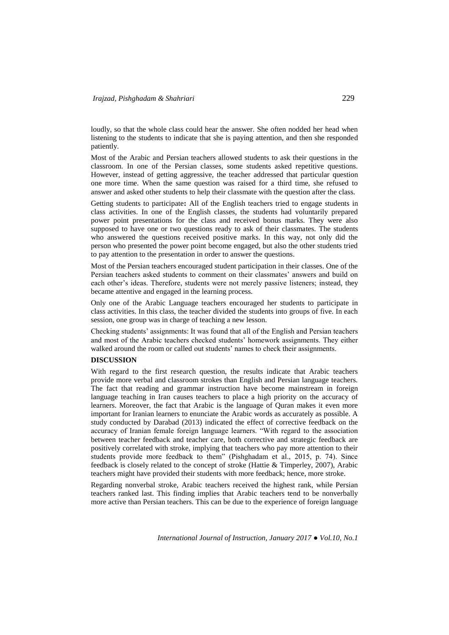loudly, so that the whole class could hear the answer. She often nodded her head when listening to the students to indicate that she is paying attention, and then she responded patiently.

Most of the Arabic and Persian teachers allowed students to ask their questions in the classroom. In one of the Persian classes, some students asked repetitive questions. However, instead of getting aggressive, the teacher addressed that particular question one more time. When the same question was raised for a third time, she refused to answer and asked other students to help their classmate with the question after the class.

Getting students to participate**:** All of the English teachers tried to engage students in class activities. In one of the English classes, the students had voluntarily prepared power point presentations for the class and received bonus marks. They were also supposed to have one or two questions ready to ask of their classmates. The students who answered the questions received positive marks. In this way, not only did the person who presented the power point become engaged, but also the other students tried to pay attention to the presentation in order to answer the questions.

Most of the Persian teachers encouraged student participation in their classes. One of the Persian teachers asked students to comment on their classmates' answers and build on each other's ideas. Therefore, students were not merely passive listeners; instead, they became attentive and engaged in the learning process.

Only one of the Arabic Language teachers encouraged her students to participate in class activities. In this class, the teacher divided the students into groups of five. In each session, one group was in charge of teaching a new lesson.

Checking students' assignments: It was found that all of the English and Persian teachers and most of the Arabic teachers checked students' homework assignments. They either walked around the room or called out students' names to check their assignments.

## **DISCUSSION**

With regard to the first research question, the results indicate that Arabic teachers provide more verbal and classroom strokes than English and Persian language teachers. The fact that reading and grammar instruction have become mainstream in foreign language teaching in Iran causes teachers to place a high priority on the accuracy of learners. Moreover, the fact that Arabic is the language of Quran makes it even more important for Iranian learners to enunciate the Arabic words as accurately as possible. A study conducted by Darabad (2013) indicated the effect of corrective feedback on the accuracy of Iranian female foreign language learners. "With regard to the association between teacher feedback and teacher care, both corrective and strategic feedback are positively correlated with stroke, implying that teachers who pay more attention to their students provide more feedback to them" (Pishghadam et al., 2015, p. 74). Since feedback is closely related to the concept of stroke (Hattie & Timperley, 2007), Arabic teachers might have provided their students with more feedback; hence, more stroke.

Regarding nonverbal stroke, Arabic teachers received the highest rank, while Persian teachers ranked last. This finding implies that Arabic teachers tend to be nonverbally more active than Persian teachers. This can be due to the experience of foreign language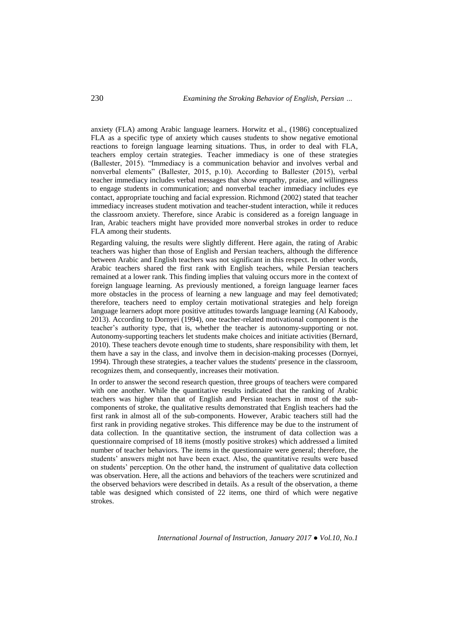anxiety (FLA) among Arabic language learners. Horwitz et al., (1986) conceptualized FLA as a specific type of anxiety which causes students to show negative emotional reactions to foreign language learning situations. Thus, in order to deal with FLA, teachers employ certain strategies. Teacher immediacy is one of these strategies (Ballester, 2015). "Immediacy is a communication behavior and involves verbal and nonverbal elements" (Ballester, 2015, p.10). According to Ballester (2015), verbal teacher immediacy includes verbal messages that show empathy, praise, and willingness to engage students in communication; and nonverbal teacher immediacy includes eye contact, appropriate touching and facial expression. Richmond (2002) stated that teacher immediacy increases student motivation and teacher-student interaction, while it reduces the classroom anxiety. Therefore, since Arabic is considered as a foreign language in Iran, Arabic teachers might have provided more nonverbal strokes in order to reduce FLA among their students.

Regarding valuing, the results were slightly different. Here again, the rating of Arabic teachers was higher than those of English and Persian teachers, although the difference between Arabic and English teachers was not significant in this respect. In other words, Arabic teachers shared the first rank with English teachers, while Persian teachers remained at a lower rank. This finding implies that valuing occurs more in the context of foreign language learning. As previously mentioned, a foreign language learner faces more obstacles in the process of learning a new language and may feel demotivated; therefore, teachers need to employ certain motivational strategies and help foreign language learners adopt more positive attitudes towards language learning (Al Kaboody, 2013). According to Dornyei (1994), one teacher-related motivational component is the teacher's authority type*,* that is, whether the teacher is autonomy-supporting or not. Autonomy-supporting teachers let students make choices and initiate activities (Bernard, 2010). These teachers devote enough time to students, share responsibility with them, let them have a say in the class, and involve them in decision-making processes (Dornyei, 1994). Through these strategies, a teacher values the students' presence in the classroom, recognizes them, and consequently, increases their motivation.

In order to answer the second research question, three groups of teachers were compared with one another. While the quantitative results indicated that the ranking of Arabic teachers was higher than that of English and Persian teachers in most of the subcomponents of stroke, the qualitative results demonstrated that English teachers had the first rank in almost all of the sub-components. However, Arabic teachers still had the first rank in providing negative strokes. This difference may be due to the instrument of data collection. In the quantitative section, the instrument of data collection was a questionnaire comprised of 18 items (mostly positive strokes) which addressed a limited number of teacher behaviors. The items in the questionnaire were general; therefore, the students' answers might not have been exact. Also, the quantitative results were based on students' perception. On the other hand, the instrument of qualitative data collection was observation. Here, all the actions and behaviors of the teachers were scrutinized and the observed behaviors were described in details. As a result of the observation, a theme table was designed which consisted of 22 items, one third of which were negative strokes.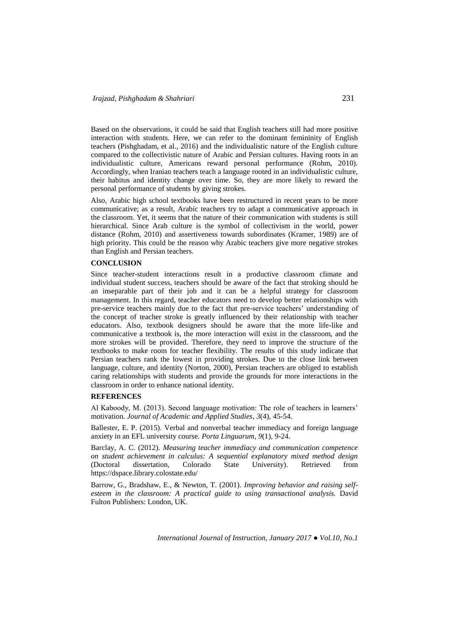Based on the observations, it could be said that English teachers still had more positive interaction with students. Here, we can refer to the dominant femininity of English teachers (Pishghadam, et al., 2016) and the individualistic nature of the English culture compared to the collectivistic nature of Arabic and Persian cultures. Having roots in an individualistic culture, Americans reward personal performance (Rohm, 2010). Accordingly, when Iranian teachers teach a language rooted in an individualistic culture, their habitus and identity change over time. So, they are more likely to reward the personal performance of students by giving strokes.

Also, Arabic high school textbooks have been restructured in recent years to be more communicative; as a result, Arabic teachers try to adapt a communicative approach in the classroom. Yet, it seems that the nature of their communication with students is still hierarchical. Since Arab culture is the symbol of collectivism in the world, power distance (Rohm, 2010) and assertiveness towards subordinates (Kramer, 1989) are of high priority. This could be the reason why Arabic teachers give more negative strokes than English and Persian teachers.

## **CONCLUSION**

Since teacher-student interactions result in a productive classroom climate and individual student success, teachers should be aware of the fact that stroking should be an inseparable part of their job and it can be a helpful strategy for classroom management. In this regard, teacher educators need to develop better relationships with pre-service teachers mainly due to the fact that pre-service teachers' understanding of the concept of teacher stroke is greatly influenced by their relationship with teacher educators. Also, textbook designers should be aware that the more life-like and communicative a textbook is, the more interaction will exist in the classroom, and the more strokes will be provided. Therefore, they need to improve the structure of the textbooks to make room for teacher flexibility. The results of this study indicate that Persian teachers rank the lowest in providing strokes. Due to the close link between language, culture, and identity (Norton, 2000), Persian teachers are obliged to establish caring relationships with students and provide the grounds for more interactions in the classroom in order to enhance national identity.

## **REFERENCES**

Al Kaboody, M. (2013). Second language motivation: The role of teachers in learners' motivation. *Journal of Academic and Applied Studies*, *3*(4), 45-54.

Ballester, E. P. (2015). Verbal and nonverbal teacher immediacy and foreign language anxiety in an EFL university course. *Porta Linguarum*, *9*(1), 9-24.

Barclay, A. C. (2012). *Measuring teacher immediacy and communication competence on student achievement in calculus: A sequential explanatory mixed method design* (Doctoral dissertation, Colorado State University). Retrieved from <https://dspace.library.colostate.edu/>

Barrow, G., Bradshaw, E., & Newton, T. (2001). *Improving behavior and raising selfesteem in the classroom: A practical guide to using transactional analysis.* David Fulton Publishers: London, UK.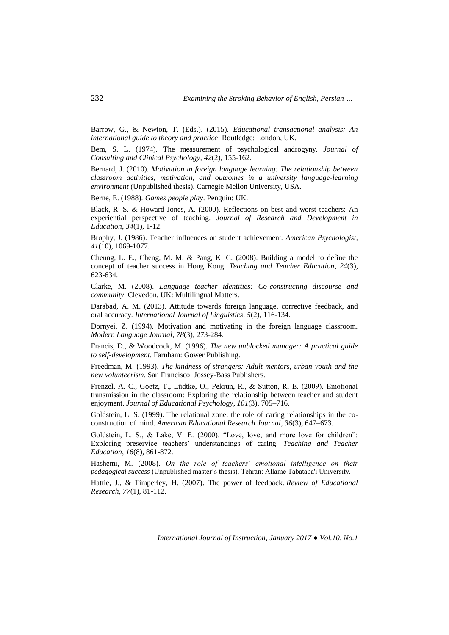Barrow, G., & Newton, T. (Eds.). (2015). *Educational transactional analysis: An international guide to theory and practice*. Routledge: London, UK.

Bem, S. L. (1974). The measurement of psychological androgyny. *Journal of Consulting and Clinical Psychology*, *42*(2), 155-162.

Bernard, J. (2010). *Motivation in foreign language learning: The relationship between classroom activities, motivation, and outcomes in a university language-learning environment* (Unpublished thesis). Carnegie Mellon University, USA.

Berne, E. (1988). *Games people play*. Penguin: UK.

Black, R. S. & Howard-Jones, A. (2000). Reflections on best and worst teachers: An experiential perspective of teaching. *Journal of Research and Development in Education*, *34*(1), 1-12.

Brophy, J. (1986). Teacher influences on student achievement. *American Psychologist*, *41*(10)*,* 1069-1077.

Cheung, L. E., Cheng, M. M. & Pang, K. C. (2008). Building a model to define the concept of teacher success in Hong Kong. *Teaching and Teacher Education*, *24*(3), 623-634.

Clarke, M. (2008). *Language teacher identities: Co-constructing discourse and community*. Clevedon, UK: Multilingual Matters.

Darabad, A. M. (2013). Attitude towards foreign language, corrective feedback, and oral accuracy. *International Journal of Linguistics*, *5*(2), 116-134.

Dornyei, Z. (1994). Motivation and motivating in the foreign language classroom. *Modern Language Journal*, *78*(3), 273-284.

Francis, D., & Woodcock, M. (1996). *The new unblocked manager: A practical guide to self-development*. Farnham: Gower Publishing.

Freedman, M. (1993). *The kindness of strangers: Adult mentors, urban youth and the new volunteerism*. San Francisco: Jossey-Bass Publishers.

Frenzel, A. C., Goetz, T., Lüdtke, O., Pekrun, R., & Sutton, R. E. (2009). Emotional transmission in the classroom: Exploring the relationship between teacher and student enjoyment. *Journal of Educational Psychology*, *101*(3), 705–716.

Goldstein, L. S. (1999). The relational zone: the role of caring relationships in the coconstruction of mind. *American Educational Research Journal*, *36*(3), 647–673.

Goldstein, L. S., & Lake, V. E. (2000). "Love, love, and more love for children": Exploring preservice teachers' understandings of caring. *Teaching and Teacher Education*, *16*(8), 861-872.

Hashemi, M. (2008). *On the role of teachers' emotional intelligence on their pedagogical success* (Unpublished master's thesis). Tehran: Allame Tabataba'i University.

Hattie, J., & Timperley, H. (2007). The power of feedback. *Review of Educational Research*, *77*(1), 81-112.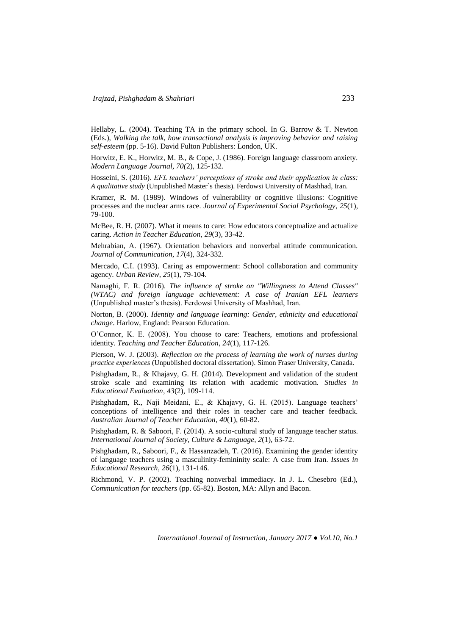Hellaby, L. (2004). Teaching TA in the primary school. In G. Barrow & T. Newton (Eds.), *Walking the talk, how transactional analysis is improving behavior and raising self-esteem* (pp. 5-16). David Fulton Publishers: London, UK.

Horwitz, E. K., Horwitz, M. B., & Cope, J. (1986). Foreign language classroom anxiety. *Modern Language Journal, 70(*2), 125-132.

Hosseini, S. (2016). *EFL teachers' perceptions of stroke and their application in class: A qualitative study* (Unpublished Master`s thesis). Ferdowsi University of Mashhad, Iran.

Kramer, R. M. (1989). Windows of vulnerability or cognitive illusions: Cognitive processes and the nuclear arms race. *Journal of Experimental Social Psychology*, *25*(1), 79-100.

McBee, R. H. (2007). What it means to care: How educators conceptualize and actualize caring. *Action in Teacher Education*, *29*(3), 33-42.

Mehrabian, A. (1967). Orientation behaviors and nonverbal attitude communication. *Journal of Communication*, *17*(4), 324-332.

Mercado, C.I. (1993). Caring as empowerment: School collaboration and community agency. *Urban Review*, *25*(1), 79-104.

Namaghi, F. R. (2016). *The influence of stroke on "Willingness to Attend Classes" (WTAC) and foreign language achievement: A case of Iranian EFL learners*  (Unpublished master's thesis). Ferdowsi University of Mashhad, Iran.

Norton, B. (2000). *Identity and language learning: Gender, ethnicity and educational change*. Harlow, England: Pearson Education.

O'Connor, K. E. (2008). You choose to care: Teachers, emotions and professional identity. *Teaching and Teacher Education*, *24*(1), 117-126.

Pierson, W. J. (2003). *Reflection on the process of learning the work of nurses during practice experiences* (Unpublished doctoral dissertation). Simon Fraser University, Canada.

Pishghadam, R., & Khajavy, G. H. (2014). Development and validation of the student stroke scale and examining its relation with academic motivation. *Studies in Educational Evaluation*, *43*(2), 109-114.

Pishghadam, R., Naji Meidani, E., & Khajavy, G. H. (2015). Language teachers' conceptions of intelligence and their roles in teacher care and teacher feedback. *Australian Journal of Teacher Education*, *40*(1), 60-82.

Pishghadam, R. & Saboori, F. (2014). A socio-cultural study of language teacher status. *International Journal of Society, Culture & Language*, *2*(1), 63-72.

Pishghadam, R., Saboori, F., & Hassanzadeh, T. (2016). Examining the gender identity of language teachers using a masculinity-femininity scale: A case from Iran. *Issues in Educational Research*, *26*(1), 131-146.

Richmond, V. P. (2002). Teaching nonverbal immediacy. In J. L. Chesebro (Ed.), *Communication for teachers* (pp. 65-82). Boston, MA: Allyn and Bacon.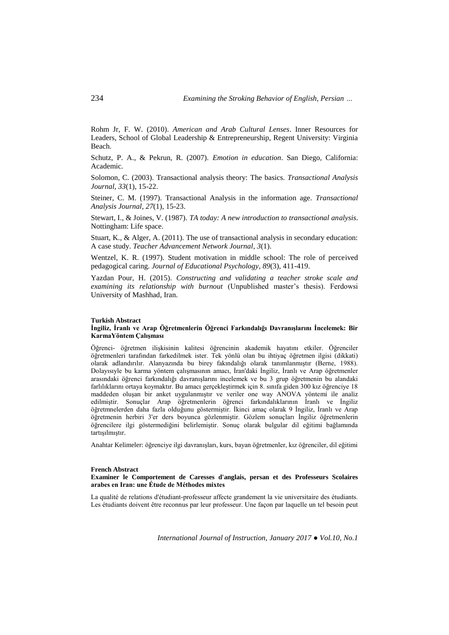Rohm Jr, F. W. (2010). *American and Arab Cultural Lenses*. Inner Resources for Leaders, School of Global Leadership & Entrepreneurship, Regent University: Virginia Beach.

Schutz, P. A., & Pekrun, R. (2007). *Emotion in education*. San Diego, California: Academic.

Solomon, C. (2003). Transactional analysis theory: The basics. *Transactional Analysis Journal*, *33*(1), 15-22.

Steiner, C. M. (1997). Transactional Analysis in the information age. *Transactional Analysis Journal*, *27*(1), 15-23.

Stewart, I., & Joines, V. (1987). *TA today: A new introduction to transactional analysis*. Nottingham: Life space.

Stuart, K., & Alger, A. (2011). The use of transactional analysis in secondary education: A case study. *Teacher Advancement Network Journal*, *3*(1).

Wentzel, K. R. (1997). Student motivation in middle school: The role of perceived pedagogical caring. *Journal of Educational Psychology*, *89*(3), 411-419.

Yazdan Pour, H. (2015). *Constructing and validating a teacher stroke scale and examining its relationship with burnout* (Unpublished master's thesis). Ferdowsi University of Mashhad, Iran.

#### **Turkish Abstract**

### **İngiliz, İranlı ve Arap Öğretmenlerin Öğrenci Farkındalığı Davranışlarını İncelemek: Bir KarmaYöntem Çalışması**

Öğrenci- öğretmen ilişkisinin kalitesi öğrencinin akademik hayatını etkiler. Öğrenciler öğretmenleri tarafından farkedilmek ister. Tek yönlü olan bu ihtiyaç öğretmen ilgisi (dikkati) olarak adlandırılır. Alanyazında bu birey fakındalığı olarak tanımlanmıştır (Berne, 1988). Dolayısıyle bu karma yöntem çalışmasının amacı, İran'daki İngiliz, İranlı ve Arap öğretmenler arasındaki öğrenci farkındalığı davranışlarını incelemek ve bu 3 grup öğretmenin bu alandaki farlılıklarını ortaya koymaktır. Bu amacı gerçekleştirmek için 8. sınıfa giden 300 kız öğrenciye 18 maddeden oluşan bir anket uygulanmıştır ve veriler one way ANOVA yöntemi ile analiz edilmiştir. Sonuçlar Arap öğretmenlerin öğrenci farkındalıklarının İranlı ve İngiliz öğretmnelerden daha fazla olduğunu göstermiştir. İkinci amaç olarak 9 İngiliz, İranlı ve Arap öğretmenin herbiri 3'er ders boyunca gözlenmiştir. Gözlem sonuçları İngiliz öğretmenlerin öğrencilere ilgi göstermediğini belirlemiştir. Sonuç olarak bulgular dil eğitimi bağlamında tartışılmıştır.

Anahtar Kelimeler: öğrenciye ilgi davranışları, kurs, bayan öğretmenler, kız öğrenciler, dil eğitimi

#### **French Abstract**

### **Examiner le Comportement de Caresses d'anglais, persan et des Professeurs Scolaires arabes en Iran: une Étude de Méthodes mixtes**

La qualité de relations d'étudiant-professeur affecte grandement la vie universitaire des étudiants. Les étudiants doivent être reconnus par leur professeur. Une façon par laquelle un tel besoin peut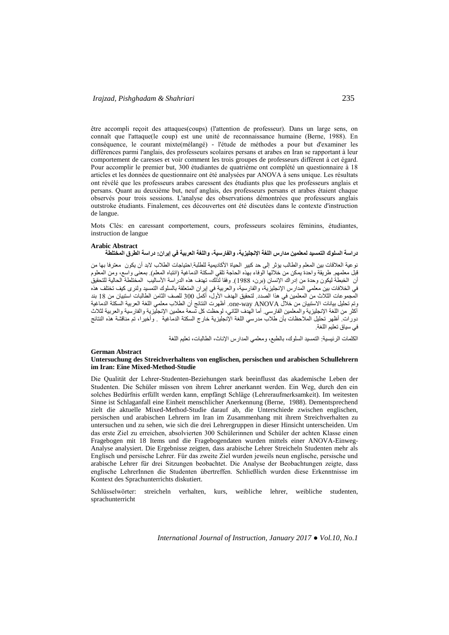être accompli reçoit des attaques(coups) (l'attention de professeur). Dans un large sens, on connaît que l'attaque(le coup) est une unité de reconnaissance humaine (Berne, 1988). En conséquence, le courant mixte(mélangé) - l'étude de méthodes a pour but d'examiner les différences parmi l'anglais, des professeurs scolaires persans et arabes en Iran se rapportant à leur comportement de caresses et voir comment les trois groupes de professeurs diffèrent à cet égard. Pour accomplir le premier but, 300 étudiantes de quatrième ont complété un questionnaire à 18 articles et les données de questionnaire ont été analysées par ANOVA à sens unique. Les résultats ont révélé que les professeurs arabes caressent des étudiants plus que les professeurs anglais et persans. Quant au deuxième but, neuf anglais, des professeurs persans et arabes étaient chaque observés pour trois sessions. L'analyse des observations démontrées que professeurs anglais outstroke étudiants. Finalement, ces découvertes ont été discutées dans le contexte d'instruction de langue.

Mots Clés: en caressant comportement, cours, professeurs scolaires féminins, étudiantes, instruction de langue

#### **Arabic Abstract**

## **دراسة السلوك التمسيد لمعلمين مدارس اللغة اإلنجليزية، والفارسية، واللغة العربية في إيران: دراسة الطرق المختلطة**

نوعية العالقات بين المعلم والطالب يؤثر إلى حد كبير الحياة األكاديمية للطلبة.احتياجات الطالب البد أن يكون معترفا بها من قبل معلمهم. طريقة واحدة يمكن من خلالها الوفاء بهذه الحاجة تلقي السكتة الدماغية (انتباه المعلم). بمعنى واسع، ومن المعلوم أن الخبطة ليكون وحدة من إدراك الإنسان (برن، 1988). وفقا لذلك، تهدف هذه الدراسة الأساليب المختلطة الحالية للتحقيق في الخالفات بين معلمي المدارس اإلنجليزية، والفارسية، والعربية في إيران المتعلقة بالسلوك التمسيد ولنرى كيف تختلف هذه المجموعات الثلاث من المعلمين في هذا الصدد. لتحقيق الهدف الأول، أكمل 300 للصف الثامن الطالبات استبيان من 18 بند<br>وتم تحليل بيانات الاستبيان من خلال Ame-way ANOVA. أظهرت النتائج أن الطلاب معلمي اللغة العربية السكتة الدماغية وتم تحليل بيانات االستبيان من خالل ANOVA way-one. أظهرت النتائج أن الطالب معلمي اللغة العربية السكتة الدماغية أكثر من اللغة اإلنجليزية والمعلمين الفارسي. أما الهدف الثاني، لوحظت كل تسعة معلمين اإلنجليزية والفارسية والعربية لثالث دورات. أظهر تحليل المالحظات بأن طالب مدرسي اللغة اإلنجليزية خارج السكتة الدماغية . وأخيرا، تم مناقشة هذه النتائج في سياق تعليم اللغة.

الكلمات الرئيسية: التمسيد السلوك، بالطبع، ومعلمي المدارس اإلناث، الطالبات، تعليم اللغة

#### **German Abstract Untersuchung des Streichverhaltens von englischen, persischen und arabischen Schullehrern im Iran: Eine Mixed-Method-Studie**

Die Qualität der Lehrer-Studenten-Beziehungen stark beeinflusst das akademische Leben der Studenten. Die Schüler müssen von ihrem Lehrer anerkannt werden. Ein Weg, durch den ein solches Bedürfnis erfüllt werden kann, empfängt Schläge (Lehreraufmerksamkeit). Im weitesten Sinne ist Schlaganfall eine Einheit menschlicher Anerkennung (Berne, 1988). Dementsprechend zielt die aktuelle Mixed-Method-Studie darauf ab, die Unterschiede zwischen englischen, persischen und arabischen Lehrern im Iran im Zusammenhang mit ihrem Streichverhalten zu untersuchen und zu sehen, wie sich die drei Lehrergruppen in dieser Hinsicht unterscheiden. Um das erste Ziel zu erreichen, absolvierten 300 Schülerinnen und Schüler der achten Klasse einen Fragebogen mit 18 Items und die Fragebogendaten wurden mittels einer ANOVA-Einweg-Analyse analysiert. Die Ergebnisse zeigten, dass arabische Lehrer Streicheln Studenten mehr als Englisch und persische Lehrer. Für das zweite Ziel wurden jeweils neun englische, persische und arabische Lehrer für drei Sitzungen beobachtet. Die Analyse der Beobachtungen zeigte, dass englische LehrerInnen die Studenten übertreffen. Schließlich wurden diese Erkenntnisse im Kontext des Sprachunterrichts diskutiert.

Schlüsselwörter: streicheln verhalten, kurs, weibliche lehrer, weibliche studenten, sprachunterricht